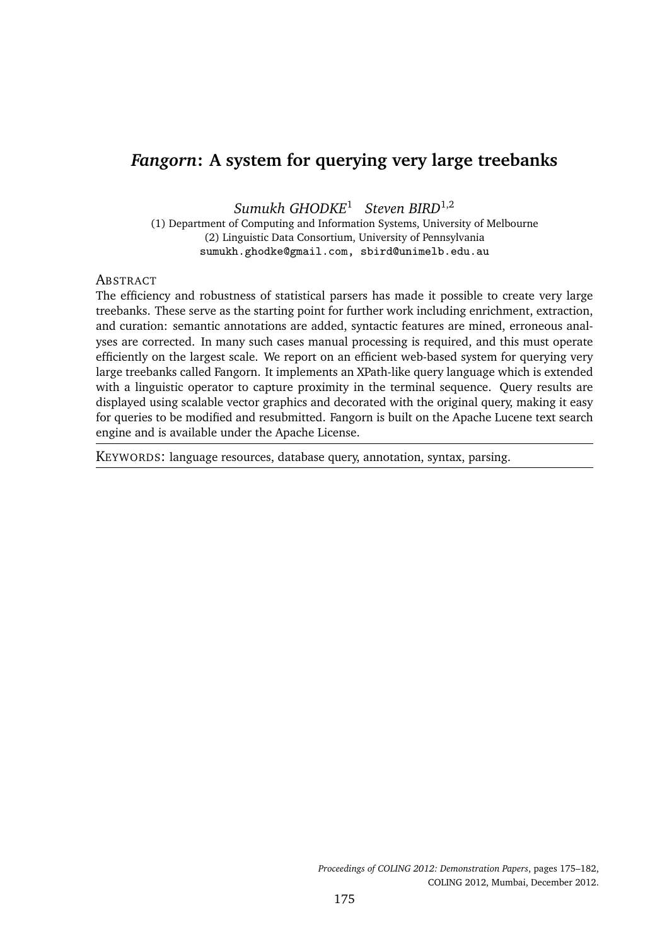# *Fangorn***: A system for querying very large treebanks**

*Sumukh GHODKE*<sup>1</sup> *Steven BIRD*1,2

(1) Department of Computing and Information Systems, University of Melbourne (2) Linguistic Data Consortium, University of Pennsylvania sumukh.ghodke@gmail.com, sbird@unimelb.edu.au

#### **ABSTRACT**

The efficiency and robustness of statistical parsers has made it possible to create very large treebanks. These serve as the starting point for further work including enrichment, extraction, and curation: semantic annotations are added, syntactic features are mined, erroneous analyses are corrected. In many such cases manual processing is required, and this must operate efficiently on the largest scale. We report on an efficient web-based system for querying very large treebanks called Fangorn. It implements an XPath-like query language which is extended with a linguistic operator to capture proximity in the terminal sequence. Query results are displayed using scalable vector graphics and decorated with the original query, making it easy for queries to be modified and resubmitted. Fangorn is built on the Apache Lucene text search engine and is available under the Apache License.

KEYWORDS: language resources, database query, annotation, syntax, parsing.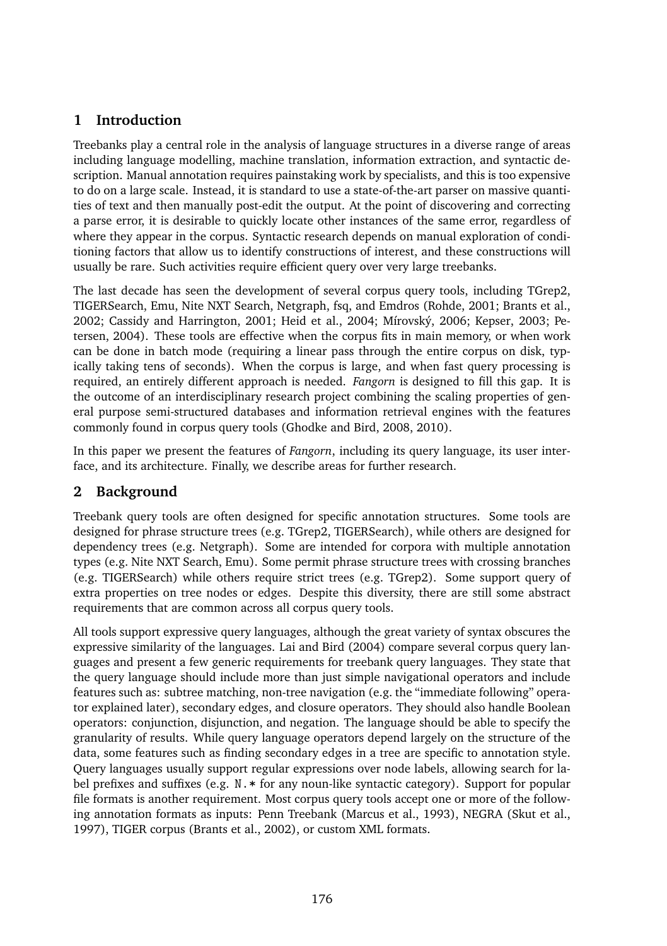## **1 Introduction**

Treebanks play a central role in the analysis of language structures in a diverse range of areas including language modelling, machine translation, information extraction, and syntactic description. Manual annotation requires painstaking work by specialists, and this is too expensive to do on a large scale. Instead, it is standard to use a state-of-the-art parser on massive quantities of text and then manually post-edit the output. At the point of discovering and correcting a parse error, it is desirable to quickly locate other instances of the same error, regardless of where they appear in the corpus. Syntactic research depends on manual exploration of conditioning factors that allow us to identify constructions of interest, and these constructions will usually be rare. Such activities require efficient query over very large treebanks.

The last decade has seen the development of several corpus query tools, including TGrep2, TIGERSearch, Emu, Nite NXT Search, Netgraph, fsq, and Emdros (Rohde, 2001; Brants et al., 2002; Cassidy and Harrington, 2001; Heid et al., 2004; Mírovský, 2006; Kepser, 2003; Petersen, 2004). These tools are effective when the corpus fits in main memory, or when work can be done in batch mode (requiring a linear pass through the entire corpus on disk, typically taking tens of seconds). When the corpus is large, and when fast query processing is required, an entirely different approach is needed. *Fangorn* is designed to fill this gap. It is the outcome of an interdisciplinary research project combining the scaling properties of general purpose semi-structured databases and information retrieval engines with the features commonly found in corpus query tools (Ghodke and Bird, 2008, 2010).

In this paper we present the features of *Fangorn*, including its query language, its user interface, and its architecture. Finally, we describe areas for further research.

## **2 Background**

Treebank query tools are often designed for specific annotation structures. Some tools are designed for phrase structure trees (e.g. TGrep2, TIGERSearch), while others are designed for dependency trees (e.g. Netgraph). Some are intended for corpora with multiple annotation types (e.g. Nite NXT Search, Emu). Some permit phrase structure trees with crossing branches (e.g. TIGERSearch) while others require strict trees (e.g. TGrep2). Some support query of extra properties on tree nodes or edges. Despite this diversity, there are still some abstract requirements that are common across all corpus query tools.

All tools support expressive query languages, although the great variety of syntax obscures the expressive similarity of the languages. Lai and Bird (2004) compare several corpus query languages and present a few generic requirements for treebank query languages. They state that the query language should include more than just simple navigational operators and include features such as: subtree matching, non-tree navigation (e.g. the "immediate following" operator explained later), secondary edges, and closure operators. They should also handle Boolean operators: conjunction, disjunction, and negation. The language should be able to specify the granularity of results. While query language operators depend largely on the structure of the data, some features such as finding secondary edges in a tree are specific to annotation style. Query languages usually support regular expressions over node labels, allowing search for label prefixes and suffixes (e.g. N.\* for any noun-like syntactic category). Support for popular file formats is another requirement. Most corpus query tools accept one or more of the following annotation formats as inputs: Penn Treebank (Marcus et al., 1993), NEGRA (Skut et al., 1997), TIGER corpus (Brants et al., 2002), or custom XML formats.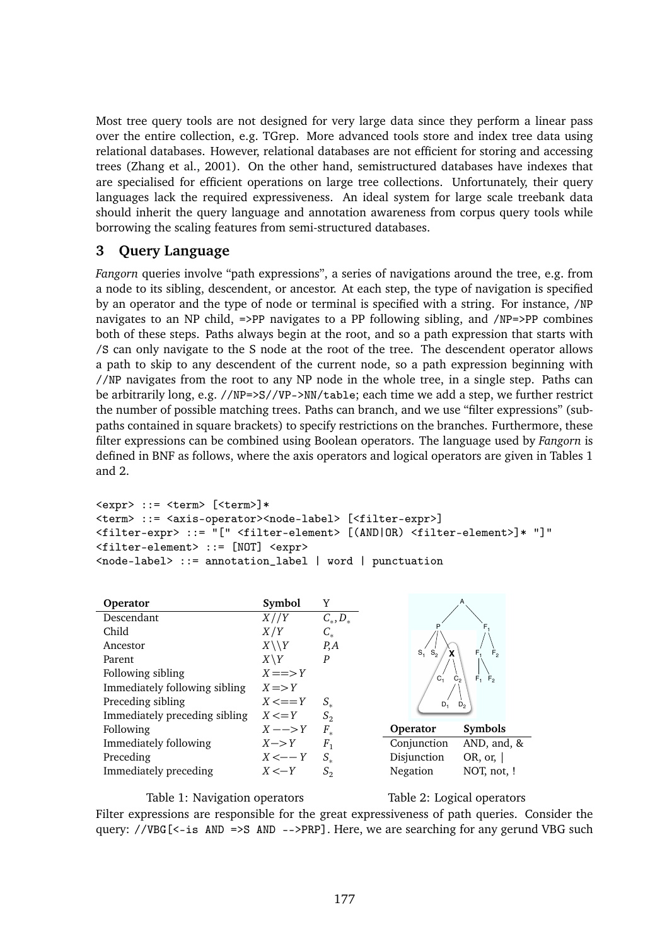Most tree query tools are not designed for very large data since they perform a linear pass over the entire collection, e.g. TGrep. More advanced tools store and index tree data using relational databases. However, relational databases are not efficient for storing and accessing trees (Zhang et al., 2001). On the other hand, semistructured databases have indexes that are specialised for efficient operations on large tree collections. Unfortunately, their query languages lack the required expressiveness. An ideal system for large scale treebank data should inherit the query language and annotation awareness from corpus query tools while borrowing the scaling features from semi-structured databases.

### **3 Query Language**

*Fangorn* queries involve "path expressions", a series of navigations around the tree, e.g. from a node to its sibling, descendent, or ancestor. At each step, the type of navigation is specified by an operator and the type of node or terminal is specified with a string. For instance, /NP navigates to an NP child, =>PP navigates to a PP following sibling, and /NP=>PP combines both of these steps. Paths always begin at the root, and so a path expression that starts with /S can only navigate to the S node at the root of the tree. The descendent operator allows a path to skip to any descendent of the current node, so a path expression beginning with //NP navigates from the root to any NP node in the whole tree, in a single step. Paths can be arbitrarily long, e.g. //NP=>S//VP->NN/table; each time we add a step, we further restrict the number of possible matching trees. Paths can branch, and we use "filter expressions" (subpaths contained in square brackets) to specify restrictions on the branches. Furthermore, these filter expressions can be combined using Boolean operators. The language used by *Fangorn* is defined in BNF as follows, where the axis operators and logical operators are given in Tables 1 and 2.

```
<expr> ::= <term> [<term>]*
<term> ::= <axis-operator><node-label> [<filter-expr>]
<filter-expr> ::= "[" <filter-element> [(AND|OR) <filter-element>]* "]"
<filter-element> ::= [NOT] <expr>
<node-label> ::= annotation_label | word | punctuation
```

| Operator                      | Symbol            | Y                    |             |                        |
|-------------------------------|-------------------|----------------------|-------------|------------------------|
| Descendant                    | X//Y              | $C_{\ast}, D_{\ast}$ |             |                        |
| Child                         | X/Y               | $C_{\star}$          |             |                        |
| Ancestor                      | $X \setminus Y$   | $P_{A}$              | $S_1$ $S_2$ | F <sub>2</sub>         |
| Parent                        | $X\Y Y$           | P                    |             | F,                     |
| Following sibling             | $X = >> Y$        |                      | C,          | $C_{2}$<br>$F_1$ $F_2$ |
| Immediately following sibling | $X \equiv Y$      |                      |             |                        |
| Preceding sibling             | $X \leq V = Y$    | $S_{\star}$          | $D_1$       | D <sub>2</sub>         |
| Immediately preceding sibling | $X \leq Y$        | $S_2$                |             |                        |
| Following                     | $X \rightarrow Y$ | $F_{\omega}$         | Operator    | Symbols                |
| Immediately following         | $X \rightarrow Y$ | $F_{1}$              | Conjunction | AND, and, &            |
| Preceding                     | $X \leftarrow -Y$ | $S_{\star}$          | Disjunction | OR, or, $\vert$        |
| Immediately preceding         | $X \leq Y$        | S <sub>2</sub>       | Negation    | NOT, not, !            |

#### Table 1: Navigation operators

Table 2: Logical operators

Filter expressions are responsible for the great expressiveness of path queries. Consider the query: //VBG $\zeta$ -is AND =>S AND -->PRP]. Here, we are searching for any gerund VBG such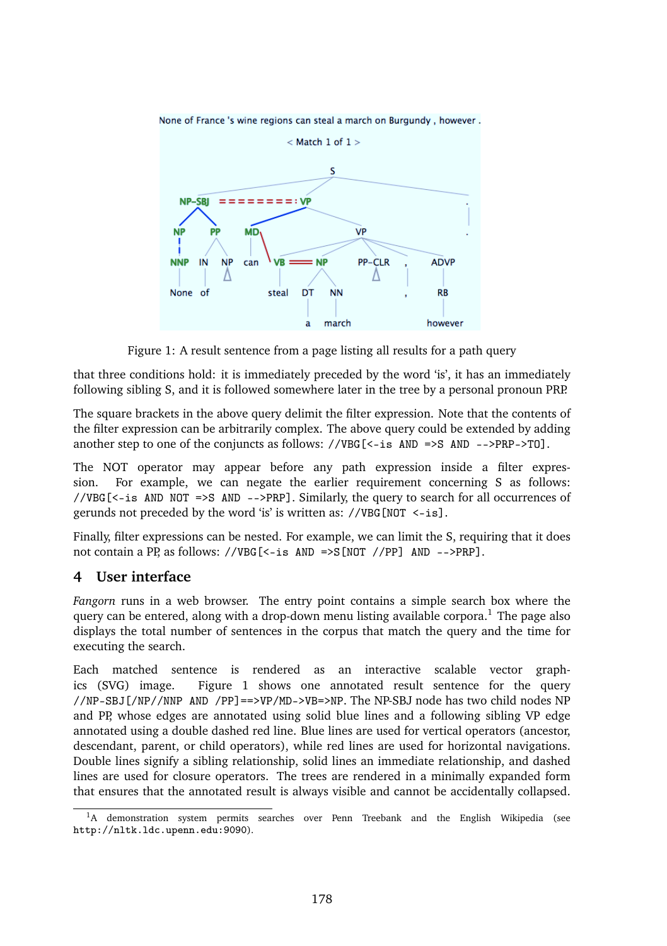

None of France 's wine regions can steal a march on Burgundy, however,

Figure 1: A result sentence from a page listing all results for a path query

that three conditions hold: it is immediately preceded by the word 'is', it has an immediately following sibling S, and it is followed somewhere later in the tree by a personal pronoun PRP.

The square brackets in the above query delimit the filter expression. Note that the contents of the filter expression can be arbitrarily complex. The above query could be extended by adding another step to one of the conjuncts as follows: //VBG[<-is AND =>S AND -->PRP->TO].

The NOT operator may appear before any path expression inside a filter expression. For example, we can negate the earlier requirement concerning S as follows: //VBG[<-is AND NOT =>S AND -->PRP]. Similarly, the query to search for all occurrences of gerunds not preceded by the word 'is' is written as: //VBG[NOT <-is].

Finally, filter expressions can be nested. For example, we can limit the S, requiring that it does not contain a PP, as follows: //VBG[<-is AND =>S[NOT //PP] AND -->PRP].

#### **4 User interface**

*Fangorn* runs in a web browser. The entry point contains a simple search box where the query can be entered, along with a drop-down menu listing available corpora.<sup>1</sup> The page also displays the total number of sentences in the corpus that match the query and the time for executing the search.

Each matched sentence is rendered as an interactive scalable vector graphics (SVG) image. Figure 1 shows one annotated result sentence for the query //NP-SBJ[/NP//NNP AND /PP]==>VP/MD->VB=>NP. The NP-SBJ node has two child nodes NP and PP, whose edges are annotated using solid blue lines and a following sibling VP edge annotated using a double dashed red line. Blue lines are used for vertical operators (ancestor, descendant, parent, or child operators), while red lines are used for horizontal navigations. Double lines signify a sibling relationship, solid lines an immediate relationship, and dashed lines are used for closure operators. The trees are rendered in a minimally expanded form that ensures that the annotated result is always visible and cannot be accidentally collapsed.

<sup>&</sup>lt;sup>1</sup>A demonstration system permits searches over Penn Treebank and the English Wikipedia (see http://nltk.ldc.upenn.edu:9090).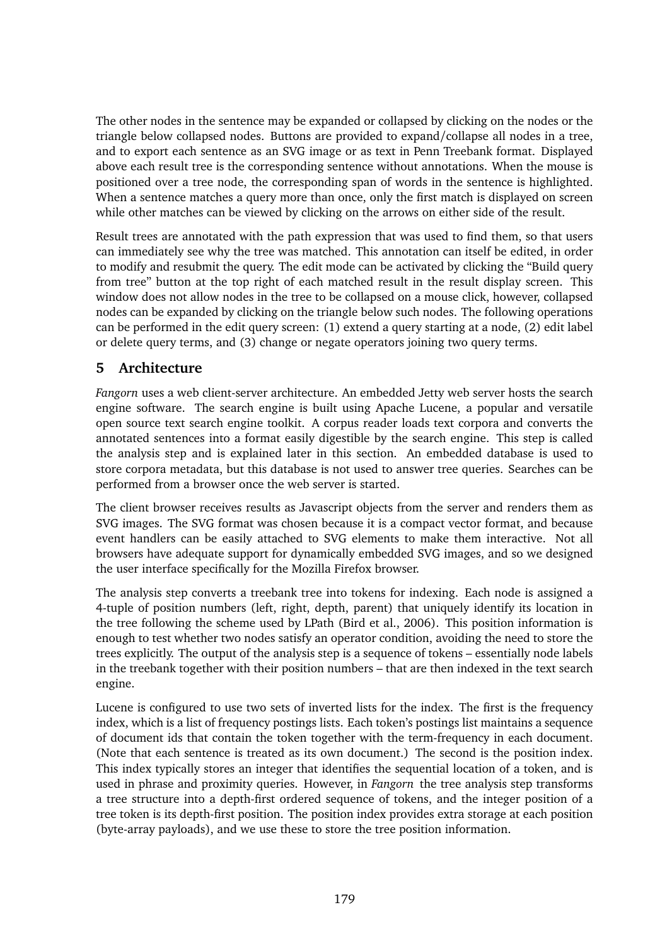The other nodes in the sentence may be expanded or collapsed by clicking on the nodes or the triangle below collapsed nodes. Buttons are provided to expand/collapse all nodes in a tree, and to export each sentence as an SVG image or as text in Penn Treebank format. Displayed above each result tree is the corresponding sentence without annotations. When the mouse is positioned over a tree node, the corresponding span of words in the sentence is highlighted. When a sentence matches a query more than once, only the first match is displayed on screen while other matches can be viewed by clicking on the arrows on either side of the result.

Result trees are annotated with the path expression that was used to find them, so that users can immediately see why the tree was matched. This annotation can itself be edited, in order to modify and resubmit the query. The edit mode can be activated by clicking the "Build query from tree" button at the top right of each matched result in the result display screen. This window does not allow nodes in the tree to be collapsed on a mouse click, however, collapsed nodes can be expanded by clicking on the triangle below such nodes. The following operations can be performed in the edit query screen: (1) extend a query starting at a node, (2) edit label or delete query terms, and (3) change or negate operators joining two query terms.

## **5 Architecture**

*Fangorn* uses a web client-server architecture. An embedded Jetty web server hosts the search engine software. The search engine is built using Apache Lucene, a popular and versatile open source text search engine toolkit. A corpus reader loads text corpora and converts the annotated sentences into a format easily digestible by the search engine. This step is called the analysis step and is explained later in this section. An embedded database is used to store corpora metadata, but this database is not used to answer tree queries. Searches can be performed from a browser once the web server is started.

The client browser receives results as Javascript objects from the server and renders them as SVG images. The SVG format was chosen because it is a compact vector format, and because event handlers can be easily attached to SVG elements to make them interactive. Not all browsers have adequate support for dynamically embedded SVG images, and so we designed the user interface specifically for the Mozilla Firefox browser.

The analysis step converts a treebank tree into tokens for indexing. Each node is assigned a 4-tuple of position numbers (left, right, depth, parent) that uniquely identify its location in the tree following the scheme used by LPath (Bird et al., 2006). This position information is enough to test whether two nodes satisfy an operator condition, avoiding the need to store the trees explicitly. The output of the analysis step is a sequence of tokens – essentially node labels in the treebank together with their position numbers – that are then indexed in the text search engine.

Lucene is configured to use two sets of inverted lists for the index. The first is the frequency index, which is a list of frequency postings lists. Each token's postings list maintains a sequence of document ids that contain the token together with the term-frequency in each document. (Note that each sentence is treated as its own document.) The second is the position index. This index typically stores an integer that identifies the sequential location of a token, and is used in phrase and proximity queries. However, in *Fangorn* the tree analysis step transforms a tree structure into a depth-first ordered sequence of tokens, and the integer position of a tree token is its depth-first position. The position index provides extra storage at each position (byte-array payloads), and we use these to store the tree position information.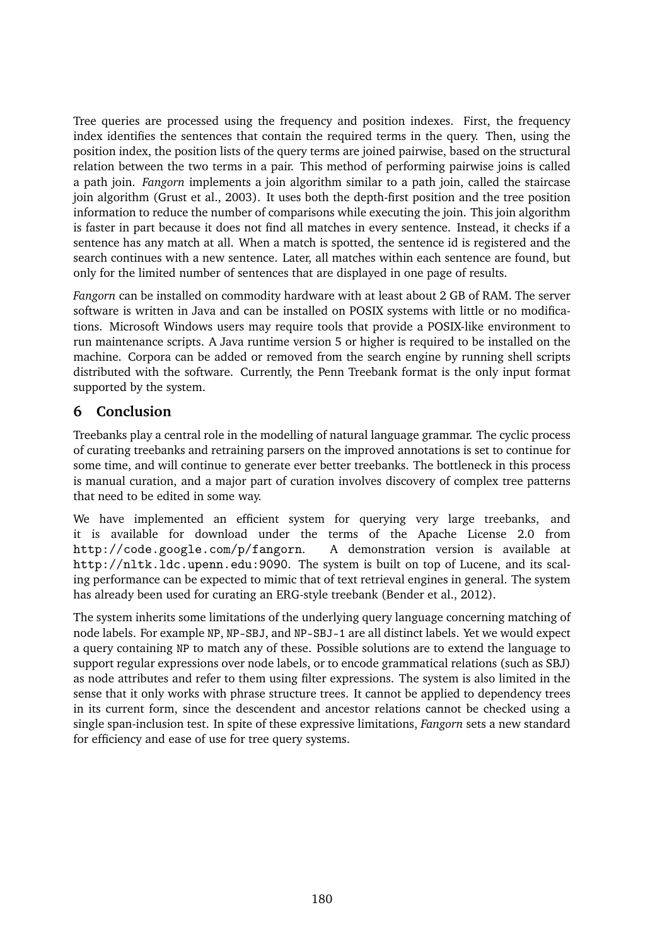Tree queries are processed using the frequency and position indexes. First, the frequency index identifies the sentences that contain the required terms in the query. Then, using the position index, the position lists of the query terms are joined pairwise, based on the structural relation between the two terms in a pair. This method of performing pairwise joins is called a path join. *Fangorn* implements a join algorithm similar to a path join, called the staircase join algorithm (Grust et al., 2003). It uses both the depth-first position and the tree position information to reduce the number of comparisons while executing the join. This join algorithm is faster in part because it does not find all matches in every sentence. Instead, it checks if a sentence has any match at all. When a match is spotted, the sentence id is registered and the search continues with a new sentence. Later, all matches within each sentence are found, but only for the limited number of sentences that are displayed in one page of results.

*Fangorn* can be installed on commodity hardware with at least about 2 GB of RAM. The server software is written in Java and can be installed on POSIX systems with little or no modifications. Microsoft Windows users may require tools that provide a POSIX-like environment to run maintenance scripts. A Java runtime version 5 or higher is required to be installed on the machine. Corpora can be added or removed from the search engine by running shell scripts distributed with the software. Currently, the Penn Treebank format is the only input format supported by the system.

## **6 Conclusion**

Treebanks play a central role in the modelling of natural language grammar. The cyclic process of curating treebanks and retraining parsers on the improved annotations is set to continue for some time, and will continue to generate ever better treebanks. The bottleneck in this process is manual curation, and a major part of curation involves discovery of complex tree patterns that need to be edited in some way.

We have implemented an efficient system for querying very large treebanks, and it is available for download under the terms of the Apache License 2.0 from http://code.google.com/p/fangorn. A demonstration version is available at http://nltk.ldc.upenn.edu:9090. The system is built on top of Lucene, and its scaling performance can be expected to mimic that of text retrieval engines in general. The system has already been used for curating an ERG-style treebank (Bender et al., 2012).

The system inherits some limitations of the underlying query language concerning matching of node labels. For example NP, NP-SBJ, and NP-SBJ-1 are all distinct labels. Yet we would expect a query containing NP to match any of these. Possible solutions are to extend the language to support regular expressions over node labels, or to encode grammatical relations (such as SBJ) as node attributes and refer to them using filter expressions. The system is also limited in the sense that it only works with phrase structure trees. It cannot be applied to dependency trees in its current form, since the descendent and ancestor relations cannot be checked using a single span-inclusion test. In spite of these expressive limitations, *Fangorn* sets a new standard for efficiency and ease of use for tree query systems.